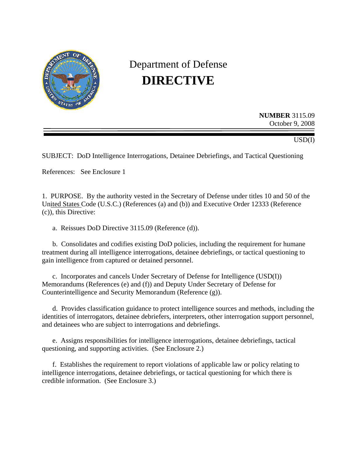

# Department of Defense **DIRECTIVE**

**NUMBER** 3115.09 October 9, 2008

USD(I)

SUBJECT: DoD Intelligence Interrogations, Detainee Debriefings, and Tactical Questioning

References: See Enclosure 1

1. PURPOSE. By the authority vested in the Secretary of Defense under titles 10 and 50 of the United States Code (U.S.C.) (References (a) and (b)) and Executive Order 12333 (Reference (c)), this Directive:

a. Reissues DoD Directive 3115.09 (Reference (d)).

b. Consolidates and codifies existing DoD policies, including the requirement for humane treatment during all intelligence interrogations, detainee debriefings, or tactical questioning to gain intelligence from captured or detained personnel.

c. Incorporates and cancels Under Secretary of Defense for Intelligence (USD(I)) Memorandums (References (e) and (f)) and Deputy Under Secretary of Defense for Counterintelligence and Security Memorandum (Reference (g)).

d. Provides classification guidance to protect intelligence sources and methods, including the identities of interrogators, detainee debriefers, interpreters, other interrogation support personnel, and detainees who are subject to interrogations and debriefings.

e. Assigns responsibilities for intelligence interrogations, detainee debriefings, tactical questioning, and supporting activities. (See Enclosure 2.)

f. Establishes the requirement to report violations of applicable law or policy relating to intelligence interrogations, detainee debriefings, or tactical questioning for which there is credible information. (See Enclosure 3.)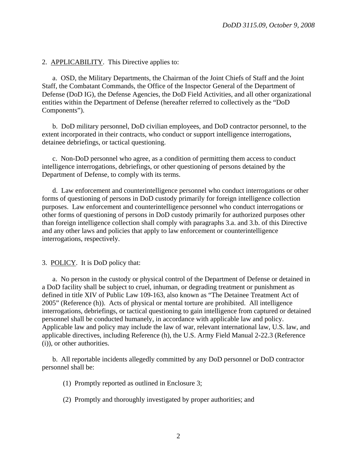#### 2. APPLICABILITY. This Directive applies to:

a. OSD, the Military Departments, the Chairman of the Joint Chiefs of Staff and the Joint Staff, the Combatant Commands, the Office of the Inspector General of the Department of Defense (DoD IG), the Defense Agencies, the DoD Field Activities, and all other organizational entities within the Department of Defense (hereafter referred to collectively as the "DoD Components").

b. DoD military personnel, DoD civilian employees, and DoD contractor personnel, to the extent incorporated in their contracts, who conduct or support intelligence interrogations, detainee debriefings, or tactical questioning.

c. Non-DoD personnel who agree, as a condition of permitting them access to conduct intelligence interrogations, debriefings, or other questioning of persons detained by the Department of Defense, to comply with its terms.

d. Law enforcement and counterintelligence personnel who conduct interrogations or other forms of questioning of persons in DoD custody primarily for foreign intelligence collection purposes. Law enforcement and counterintelligence personnel who conduct interrogations or other forms of questioning of persons in DoD custody primarily for authorized purposes other than foreign intelligence collection shall comply with paragraphs 3.a. and 3.b. of this Directive and any other laws and policies that apply to law enforcement or counterintelligence interrogations, respectively.

#### 3. POLICY. It is DoD policy that:

a. No person in the custody or physical control of the Department of Defense or detained in a DoD facility shall be subject to cruel, inhuman, or degrading treatment or punishment as defined in title XIV of Public Law 109-163, also known as "The Detainee Treatment Act of 2005" (Reference (h)). Acts of physical or mental torture are prohibited. All intelligence interrogations, debriefings, or tactical questioning to gain intelligence from captured or detained personnel shall be conducted humanely, in accordance with applicable law and policy. Applicable law and policy may include the law of war, relevant international law, U.S. law, and applicable directives, including Reference (h), the U.S. Army Field Manual 2-22.3 (Reference (i)), or other authorities.

b. All reportable incidents allegedly committed by any DoD personnel or DoD contractor personnel shall be:

(1) Promptly reported as outlined in Enclosure 3;

(2) Promptly and thoroughly investigated by proper authorities; and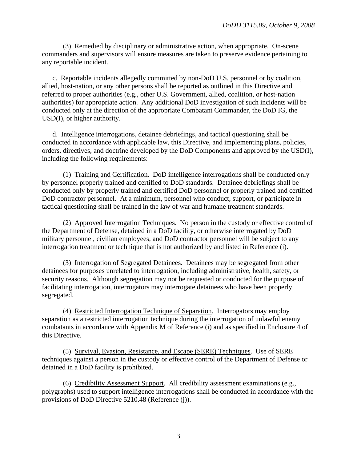(3) Remedied by disciplinary or administrative action, when appropriate. On-scene commanders and supervisors will ensure measures are taken to preserve evidence pertaining to any reportable incident.

c. Reportable incidents allegedly committed by non-DoD U.S. personnel or by coalition, allied, host-nation, or any other persons shall be reported as outlined in this Directive and referred to proper authorities (e.g., other U.S. Government, allied, coalition, or host-nation authorities) for appropriate action. Any additional DoD investigation of such incidents will be conducted only at the direction of the appropriate Combatant Commander, the DoD IG, the USD(I), or higher authority.

 d. Intelligence interrogations, detainee debriefings, and tactical questioning shall be conducted in accordance with applicable law, this Directive, and implementing plans, policies, orders, directives, and doctrine developed by the DoD Components and approved by the USD(I), including the following requirements:

 (1) Training and Certification. DoD intelligence interrogations shall be conducted only by personnel properly trained and certified to DoD standards. Detainee debriefings shall be conducted only by properly trained and certified DoD personnel or properly trained and certified DoD contractor personnel. At a minimum, personnel who conduct, support, or participate in tactical questioning shall be trained in the law of war and humane treatment standards.

 (2) Approved Interrogation Techniques. No person in the custody or effective control of the Department of Defense, detained in a DoD facility, or otherwise interrogated by DoD military personnel, civilian employees, and DoD contractor personnel will be subject to any interrogation treatment or technique that is not authorized by and listed in Reference (i).

 (3) Interrogation of Segregated Detainees. Detainees may be segregated from other detainees for purposes unrelated to interrogation, including administrative, health, safety, or security reasons. Although segregation may not be requested or conducted for the purpose of facilitating interrogation, interrogators may interrogate detainees who have been properly segregated.

 (4) Restricted Interrogation Technique of Separation. Interrogators may employ separation as a restricted interrogation technique during the interrogation of unlawful enemy combatants in accordance with Appendix M of Reference (i) and as specified in Enclosure 4 of this Directive.

 (5) Survival, Evasion, Resistance, and Escape (SERE) Techniques. Use of SERE techniques against a person in the custody or effective control of the Department of Defense or detained in a DoD facility is prohibited.

 (6) Credibility Assessment Support. All credibility assessment examinations (e.g., polygraphs) used to support intelligence interrogations shall be conducted in accordance with the provisions of DoD Directive 5210.48 (Reference (j)).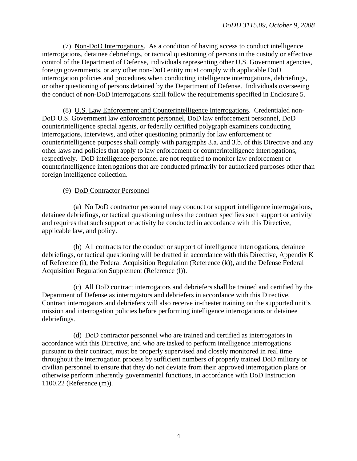(7) Non-DoD Interrogations. As a condition of having access to conduct intelligence interrogations, detainee debriefings, or tactical questioning of persons in the custody or effective control of the Department of Defense, individuals representing other U.S. Government agencies, foreign governments, or any other non-DoD entity must comply with applicable DoD interrogation policies and procedures when conducting intelligence interrogations, debriefings, or other questioning of persons detained by the Department of Defense. Individuals overseeing the conduct of non-DoD interrogations shall follow the requirements specified in Enclosure 5.

 (8) U.S. Law Enforcement and Counterintelligence Interrogations. Credentialed non-DoD U.S. Government law enforcement personnel, DoD law enforcement personnel, DoD counterintelligence special agents, or federally certified polygraph examiners conducting interrogations, interviews, and other questioning primarily for law enforcement or counterintelligence purposes shall comply with paragraphs 3.a. and 3.b. of this Directive and any other laws and policies that apply to law enforcement or counterintelligence interrogations, respectively. DoD intelligence personnel are not required to monitor law enforcement or counterintelligence interrogations that are conducted primarily for authorized purposes other than foreign intelligence collection.

#### (9) DoD Contractor Personnel

 (a) No DoD contractor personnel may conduct or support intelligence interrogations, detainee debriefings, or tactical questioning unless the contract specifies such support or activity and requires that such support or activity be conducted in accordance with this Directive, applicable law, and policy.

 (b) All contracts for the conduct or support of intelligence interrogations, detainee debriefings, or tactical questioning will be drafted in accordance with this Directive, Appendix K of Reference (i), the Federal Acquisition Regulation (Reference (k)), and the Defense Federal Acquisition Regulation Supplement (Reference (l)).

 (c) All DoD contract interrogators and debriefers shall be trained and certified by the Department of Defense as interrogators and debriefers in accordance with this Directive. Contract interrogators and debriefers will also receive in-theater training on the supported unit's mission and interrogation policies before performing intelligence interrogations or detainee debriefings.

 (d) DoD contractor personnel who are trained and certified as interrogators in accordance with this Directive, and who are tasked to perform intelligence interrogations pursuant to their contract, must be properly supervised and closely monitored in real time throughout the interrogation process by sufficient numbers of properly trained DoD military or civilian personnel to ensure that they do not deviate from their approved interrogation plans or otherwise perform inherently governmental functions, in accordance with DoD Instruction 1100.22 (Reference (m)).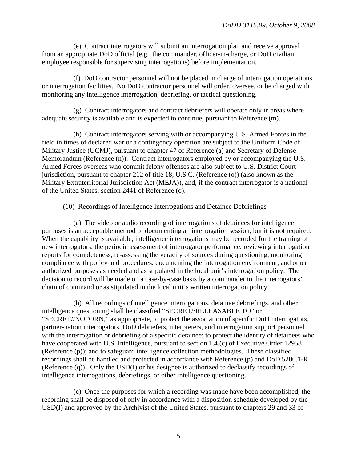(e) Contract interrogators will submit an interrogation plan and receive approval from an appropriate DoD official (e.g., the commander, officer-in-charge, or DoD civilian employee responsible for supervising interrogations) before implementation.

 (f) DoD contractor personnel will not be placed in charge of interrogation operations or interrogation facilities. No DoD contractor personnel will order, oversee, or be charged with monitoring any intelligence interrogation, debriefing, or tactical questioning.

 (g) Contract interrogators and contract debriefers will operate only in areas where adequate security is available and is expected to continue, pursuant to Reference (m).

 (h) Contract interrogators serving with or accompanying U.S. Armed Forces in the field in times of declared war or a contingency operation are subject to the Uniform Code of Military Justice (UCMJ), pursuant to chapter 47 of Reference (a) and Secretary of Defense Memorandum (Reference (n)). Contract interrogators employed by or accompanying the U.S. Armed Forces overseas who commit felony offenses are also subject to U.S. District Court jurisdiction, pursuant to chapter 212 of title 18, U.S.C. (Reference (o)) (also known as the Military Extraterritorial Jurisdiction Act (MEJA)), and, if the contract interrogator is a national of the United States, section 2441 of Reference (o).

#### (10) Recordings of Intelligence Interrogations and Detainee Debriefings

 (a) The video or audio recording of interrogations of detainees for intelligence purposes is an acceptable method of documenting an interrogation session, but it is not required. When the capability is available, intelligence interrogations may be recorded for the training of new interrogators, the periodic assessment of interrogator performance, reviewing interrogation reports for completeness, re-assessing the veracity of sources during questioning, monitoring compliance with policy and procedures, documenting the interrogation environment, and other authorized purposes as needed and as stipulated in the local unit's interrogation policy. The decision to record will be made on a case-by-case basis by a commander in the interrogators' chain of command or as stipulated in the local unit's written interrogation policy.

 (b) All recordings of intelligence interrogations, detainee debriefings, and other intelligence questioning shall be classified "SECRET//RELEASABLE TO" or "SECRET//NOFORN," as appropriate, to protect the association of specific DoD interrogators, partner-nation interrogators, DoD debriefers, interpreters, and interrogation support personnel with the interrogation or debriefing of a specific detainee; to protect the identity of detainees who have cooperated with U.S. Intelligence, pursuant to section 1.4.(c) of Executive Order 12958 (Reference (p)); and to safeguard intelligence collection methodologies. These classified recordings shall be handled and protected in accordance with Reference (p) and DoD 5200.1-R (Reference (q)). Only the USD(I) or his designee is authorized to declassify recordings of intelligence interrogations, debriefings, or other intelligence questioning.

(c) Once the purposes for which a recording was made have been accomplished, the recording shall be disposed of only in accordance with a disposition schedule developed by the USD(I) and approved by the Archivist of the United States, pursuant to chapters 29 and 33 of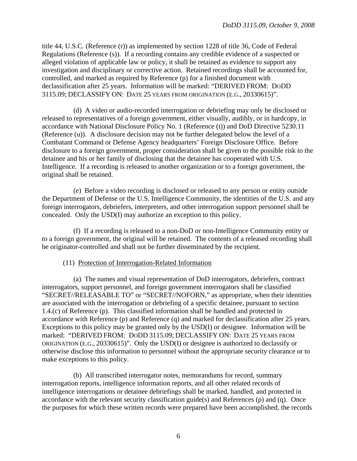title 44, U.S.C. (Reference (r)) as implemented by section 1228 of title 36, Code of Federal Regulations (Reference (s)). If a recording contains any credible evidence of a suspected or alleged violation of applicable law or policy, it shall be retained as evidence to support any investigation and disciplinary or corrective action. Retained recordings shall be accounted for, controlled, and marked as required by Reference (p) for a finished document with declassification after 25 years. Information will be marked: "DERIVED FROM: DODD 3115.09; DECLASSIFY ON: DATE 25 YEARS FROM ORIGINATION (E.G., 20330615)".

 (d) A video or audio-recorded interrogation or debriefing may only be disclosed or released to representatives of a foreign government, either visually, audibly, or in hardcopy, in accordance with National Disclosure Policy No. 1 (Reference (t)) and DoD Directive 5230.11 (Reference (u)). A disclosure decision may not be further delegated below the level of a Combatant Command or Defense Agency headquarters' Foreign Disclosure Office. Before disclosure to a foreign government, proper consideration shall be given to the possible risk to the detainee and his or her family of disclosing that the detainee has cooperated with U.S. Intelligence. If a recording is released to another organization or to a foreign government, the original shall be retained.

 (e) Before a video recording is disclosed or released to any person or entity outside the Department of Defense or the U.S. Intelligence Community, the identities of the U.S. and any foreign interrogators, debriefers, interpreters, and other interrogation support personnel shall be concealed. Only the USD(I) may authorize an exception to this policy.

 (f) If a recording is released to a non-DoD or non-Intelligence Community entity or to a foreign government, the original will be retained. The contents of a released recording shall be originator-controlled and shall not be further disseminated by the recipient.

#### (11) Protection of Interrogation-Related Information

 (a) The names and visual representation of DoD interrogators, debriefers, contract interrogators, support personnel, and foreign government interrogators shall be classified "SECRET//RELEASABLE TO" or "SECRET//NOFORN," as appropriate, when their identities are associated with the interrogation or debriefing of a specific detainee, pursuant to section 1.4.(c) of Reference (p). This classified information shall be handled and protected in accordance with Reference (p) and Reference (q) and marked for declassification after 25 years. Exceptions to this policy may be granted only by the USD(I) or designee. Information will be marked: "DERIVED FROM: DODD 3115.09; DECLASSIFY ON: DATE 25 YEARS FROM ORIGINATION (E.G., 20330615)". Only the USD(I) or designee is authorized to declassify or otherwise disclose this information to personnel without the appropriate security clearance or to make exceptions to this policy.

 (b) All transcribed interrogator notes, memorandums for record, summary interrogation reports, intelligence information reports, and all other related records of intelligence interrogations or detainee debriefings shall be marked, handled, and protected in accordance with the relevant security classification guide(s) and References (p) and (q). Once the purposes for which these written records were prepared have been accomplished, the records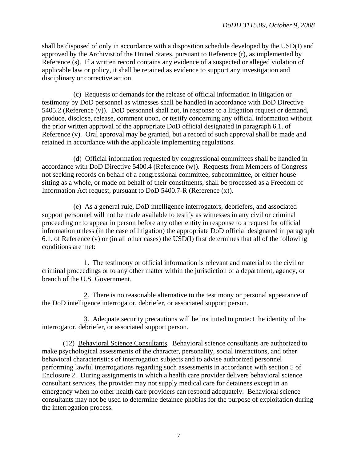shall be disposed of only in accordance with a disposition schedule developed by the USD(I) and approved by the Archivist of the United States, pursuant to Reference (r), as implemented by Reference (s). If a written record contains any evidence of a suspected or alleged violation of applicable law or policy, it shall be retained as evidence to support any investigation and disciplinary or corrective action.

 (c) Requests or demands for the release of official information in litigation or testimony by DoD personnel as witnesses shall be handled in accordance with DoD Directive 5405.2 (Reference (v)). DoD personnel shall not, in response to a litigation request or demand, produce, disclose, release, comment upon, or testify concerning any official information without the prior written approval of the appropriate DoD official designated in paragraph 6.1. of Reference (v). Oral approval may be granted, but a record of such approval shall be made and retained in accordance with the applicable implementing regulations.

 (d) Official information requested by congressional committees shall be handled in accordance with DoD Directive 5400.4 (Reference (w)). Requests from Members of Congress not seeking records on behalf of a congressional committee, subcommittee, or either house sitting as a whole, or made on behalf of their constituents, shall be processed as a Freedom of Information Act request, pursuant to DoD 5400.7-R (Reference (x)).

 (e) As a general rule, DoD intelligence interrogators, debriefers, and associated support personnel will not be made available to testify as witnesses in any civil or criminal proceeding or to appear in person before any other entity in response to a request for official information unless (in the case of litigation) the appropriate DoD official designated in paragraph 6.1. of Reference (v) or (in all other cases) the USD(I) first determines that all of the following conditions are met:

 1. The testimony or official information is relevant and material to the civil or criminal proceedings or to any other matter within the jurisdiction of a department, agency, or branch of the U.S. Government.

 2. There is no reasonable alternative to the testimony or personal appearance of the DoD intelligence interrogator, debriefer, or associated support person.

 3. Adequate security precautions will be instituted to protect the identity of the interrogator, debriefer, or associated support person.

 (12) Behavioral Science Consultants. Behavioral science consultants are authorized to make psychological assessments of the character, personality, social interactions, and other behavioral characteristics of interrogation subjects and to advise authorized personnel performing lawful interrogations regarding such assessments in accordance with section 5 of Enclosure 2. During assignments in which a health care provider delivers behavioral science consultant services, the provider may not supply medical care for detainees except in an emergency when no other health care providers can respond adequately. Behavioral science consultants may not be used to determine detainee phobias for the purpose of exploitation during the interrogation process.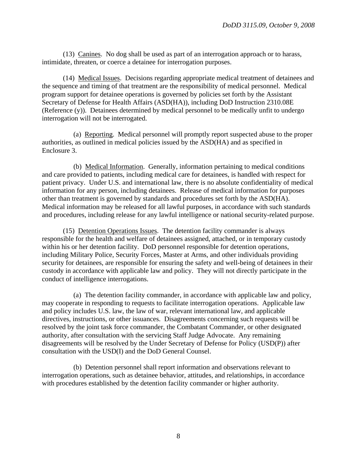(13) Canines. No dog shall be used as part of an interrogation approach or to harass, intimidate, threaten, or coerce a detainee for interrogation purposes.

 (14) Medical Issues. Decisions regarding appropriate medical treatment of detainees and the sequence and timing of that treatment are the responsibility of medical personnel. Medical program support for detainee operations is governed by policies set forth by the Assistant Secretary of Defense for Health Affairs (ASD(HA)), including DoD Instruction 2310.08E (Reference (y)). Detainees determined by medical personnel to be medically unfit to undergo interrogation will not be interrogated.

 (a) Reporting. Medical personnel will promptly report suspected abuse to the proper authorities, as outlined in medical policies issued by the ASD(HA) and as specified in Enclosure 3.

 (b) Medical Information. Generally, information pertaining to medical conditions and care provided to patients, including medical care for detainees, is handled with respect for patient privacy. Under U.S. and international law, there is no absolute confidentiality of medical information for any person, including detainees. Release of medical information for purposes other than treatment is governed by standards and procedures set forth by the ASD(HA). Medical information may be released for all lawful purposes, in accordance with such standards and procedures, including release for any lawful intelligence or national security-related purpose.

 (15) Detention Operations Issues. The detention facility commander is always responsible for the health and welfare of detainees assigned, attached, or in temporary custody within his or her detention facility. DoD personnel responsible for detention operations, including Military Police, Security Forces, Master at Arms, and other individuals providing security for detainees, are responsible for ensuring the safety and well-being of detainees in their custody in accordance with applicable law and policy. They will not directly participate in the conduct of intelligence interrogations.

 (a) The detention facility commander, in accordance with applicable law and policy, may cooperate in responding to requests to facilitate interrogation operations. Applicable law and policy includes U.S. law, the law of war, relevant international law, and applicable directives, instructions, or other issuances. Disagreements concerning such requests will be resolved by the joint task force commander, the Combatant Commander, or other designated authority, after consultation with the servicing Staff Judge Advocate. Any remaining disagreements will be resolved by the Under Secretary of Defense for Policy (USD(P)) after consultation with the USD(I) and the DoD General Counsel.

 (b) Detention personnel shall report information and observations relevant to interrogation operations, such as detainee behavior, attitudes, and relationships, in accordance with procedures established by the detention facility commander or higher authority.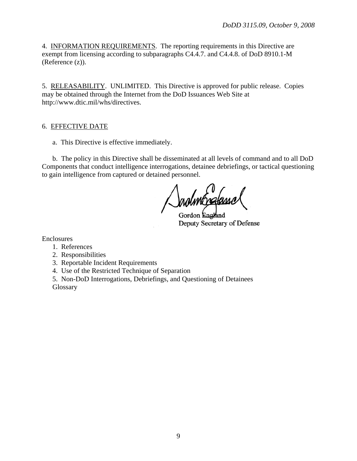4. INFORMATION REQUIREMENTS. The reporting requirements in this Directive are exempt from licensing according to subparagraphs C4.4.7. and C4.4.8. of DoD 8910.1-M (Reference (z)).

5. RELEASABILITY. UNLIMITED. This Directive is approved for public release. Copies may be obtained through the Internet from the DoD Issuances Web Site at http://www.dtic.mil/whs/directives.

## 6. EFFECTIVE DATE

a. This Directive is effective immediately.

b. The policy in this Directive shall be disseminated at all levels of command and to all DoD Components that conduct intelligence interrogations, detainee debriefings, or tactical questioning to gain intelligence from captured or detained personnel.

Gordon Eng Deputy Secretary of Defense

Enclosures

- 1. References
- 2. Responsibilities
- 3. Reportable Incident Requirements
- 4. Use of the Restricted Technique of Separation

 5. Non-DoD Interrogations, Debriefings, and Questioning of Detainees **Glossary**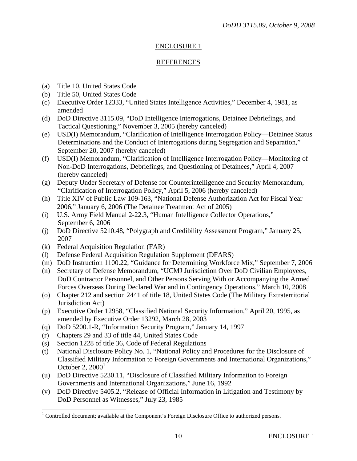# REFERENCES

- (a) Title 10, United States Code
- (b) Title 50, United States Code
- (c) Executive Order 12333, "United States Intelligence Activities," December 4, 1981, as amended
- (d) DoD Directive 3115.09, "DoD Intelligence Interrogations, Detainee Debriefings, and Tactical Questioning," November 3, 2005 (hereby canceled)
- (e) USD(I) Memorandum, "Clarification of Intelligence Interrogation Policy—Detainee Status Determinations and the Conduct of Interrogations during Segregation and Separation," September 20, 2007 (hereby canceled)
- (f) USD(I) Memorandum, "Clarification of Intelligence Interrogation Policy—Monitoring of Non-DoD Interrogations, Debriefings, and Questioning of Detainees," April 4, 2007 (hereby canceled)
- (g) Deputy Under Secretary of Defense for Counterintelligence and Security Memorandum, "Clarification of Interrogation Policy," April 5, 2006 (hereby canceled)
- (h) Title XIV of Public Law 109-163, "National Defense Authorization Act for Fiscal Year 2006," January 6, 2006 (The Detainee Treatment Act of 2005)
- (i) U.S. Army Field Manual 2-22.3, "Human Intelligence Collector Operations," September 6, 2006
- (j) DoD Directive 5210.48, "Polygraph and Credibility Assessment Program," January 25, 2007
- (k) Federal Acquisition Regulation (FAR)
- (l) Defense Federal Acquisition Regulation Supplement (DFARS)
- (m) DoD Instruction 1100.22, "Guidance for Determining Workforce Mix," September 7, 2006
- (n) Secretary of Defense Memorandum, "UCMJ Jurisdiction Over DoD Civilian Employees, DoD Contractor Personnel, and Other Persons Serving With or Accompanying the Armed Forces Overseas During Declared War and in Contingency Operations," March 10, 2008
- (o) Chapter 212 and section 2441 of title 18, United States Code (The Military Extraterritorial Jurisdiction Act)
- (p) Executive Order 12958, "Classified National Security Information," April 20, 1995, as amended by Executive Order 13292, March 28, 2003
- (q) DoD 5200.1-R, "Information Security Program," January 14, 1997
- (r) Chapters 29 and 33 of title 44, United States Code

 $\overline{a}$ 

- (s) Section 1228 of title 36, Code of Federal Regulations
- (t) National Disclosure Policy No. 1, "National Policy and Procedures for the Disclosure of Classified Military Information to Foreign Governments and International Organizations," October 2,  $2000<sup>1</sup>$
- (u) DoD Directive 5230.11, "Disclosure of Classified Military Information to Foreign Governments and International Organizations," June 16, 1992
- (v) DoD Directive 5405.2, "Release of Official Information in Litigation and Testimony by DoD Personnel as Witnesses," July 23, 1985

 $1$  Controlled document; available at the Component's Foreign Disclosure Office to authorized persons.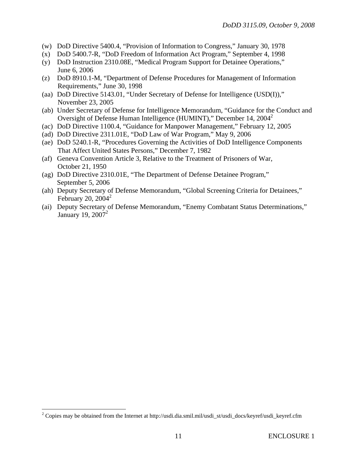- (w) DoD Directive 5400.4, "Provision of Information to Congress," January 30, 1978
- (x) DoD 5400.7-R, "DoD Freedom of Information Act Program," September 4, 1998
- (y) DoD Instruction 2310.08E, "Medical Program Support for Detainee Operations," June 6, 2006
- (z) DoD 8910.1-M, "Department of Defense Procedures for Management of Information Requirements," June 30, 1998
- (aa) DoD Directive 5143.01, "Under Secretary of Defense for Intelligence (USD(I))," November 23, 2005
- (ab) Under Secretary of Defense for Intelligence Memorandum, "Guidance for the Conduct and Oversight of Defense Human Intelligence (HUMINT)," December 14, 2004<sup>2</sup>
- (ac) DoD Directive 1100.4, "Guidance for Manpower Management," February 12, 2005
- (ad) DoD Directive 2311.01E, "DoD Law of War Program," May 9, 2006
- (ae) DoD 5240.1-R, "Procedures Governing the Activities of DoD Intelligence Components That Affect United States Persons," December 7, 1982
- (af) Geneva Convention Article 3, Relative to the Treatment of Prisoners of War, October 21, 1950
- (ag) DoD Directive 2310.01E, "The Department of Defense Detainee Program," September 5, 2006
- (ah) Deputy Secretary of Defense Memorandum, "Global Screening Criteria for Detainees," February 20,  $2004^2$
- (ai) Deputy Secretary of Defense Memorandum, "Enemy Combatant Status Determinations," January 19,  $2007<sup>2</sup>$

 $\overline{a}$ 

<sup>&</sup>lt;sup>2</sup> Copies may be obtained from the Internet at http://usdi.dia.smil.mil/usdi\_st/usdi\_docs/keyref/usdi\_keyref.cfm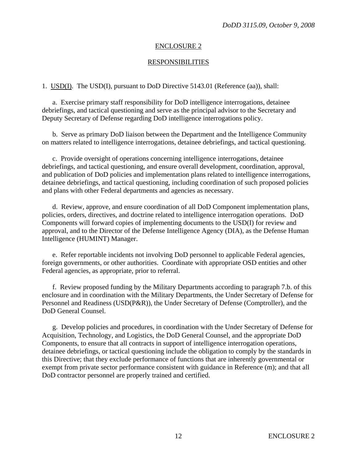# RESPONSIBILITIES

1. USD(I). The USD(I), pursuant to DoD Directive 5143.01 (Reference (aa)), shall:

 a. Exercise primary staff responsibility for DoD intelligence interrogations, detainee debriefings, and tactical questioning and serve as the principal advisor to the Secretary and Deputy Secretary of Defense regarding DoD intelligence interrogations policy.

 b. Serve as primary DoD liaison between the Department and the Intelligence Community on matters related to intelligence interrogations, detainee debriefings, and tactical questioning.

 c. Provide oversight of operations concerning intelligence interrogations, detainee debriefings, and tactical questioning, and ensure overall development, coordination, approval, and publication of DoD policies and implementation plans related to intelligence interrogations, detainee debriefings, and tactical questioning, including coordination of such proposed policies and plans with other Federal departments and agencies as necessary.

 d. Review, approve, and ensure coordination of all DoD Component implementation plans, policies, orders, directives, and doctrine related to intelligence interrogation operations. DoD Components will forward copies of implementing documents to the USD(I) for review and approval, and to the Director of the Defense Intelligence Agency (DIA), as the Defense Human Intelligence (HUMINT) Manager.

 e. Refer reportable incidents not involving DoD personnel to applicable Federal agencies, foreign governments, or other authorities. Coordinate with appropriate OSD entities and other Federal agencies, as appropriate, prior to referral.

 f. Review proposed funding by the Military Departments according to paragraph 7.b. of this enclosure and in coordination with the Military Departments, the Under Secretary of Defense for Personnel and Readiness (USD(P&R)), the Under Secretary of Defense (Comptroller), and the DoD General Counsel.

 g. Develop policies and procedures, in coordination with the Under Secretary of Defense for Acquisition, Technology, and Logistics, the DoD General Counsel, and the appropriate DoD Components, to ensure that all contracts in support of intelligence interrogation operations, detainee debriefings, or tactical questioning include the obligation to comply by the standards in this Directive; that they exclude performance of functions that are inherently governmental or exempt from private sector performance consistent with guidance in Reference (m); and that all DoD contractor personnel are properly trained and certified.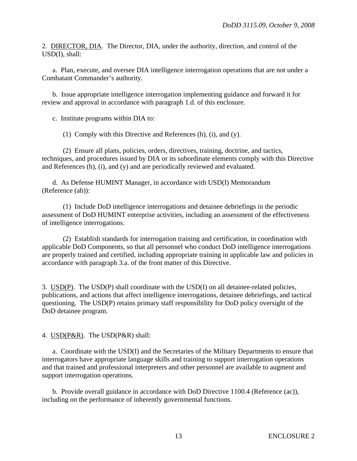2. DIRECTOR, DIA. The Director, DIA, under the authority, direction, and control of the USD(I), shall:

 a. Plan, execute, and oversee DIA intelligence interrogation operations that are not under a Combatant Commander's authority.

 b. Issue appropriate intelligence interrogation implementing guidance and forward it for review and approval in accordance with paragraph 1.d. of this enclosure.

c. Institute programs within DIA to:

(1) Comply with this Directive and References (h), (i), and (y).

 (2) Ensure all plans, policies, orders, directives, training, doctrine, and tactics, techniques, and procedures issued by DIA or its subordinate elements comply with this Directive and References (h), (i), and (y) and are periodically reviewed and evaluated.

 d. As Defense HUMINT Manager, in accordance with USD(I) Memorandum (Reference (ab)):

 (1) Include DoD intelligence interrogations and detainee debriefings in the periodic assessment of DoD HUMINT enterprise activities, including an assessment of the effectiveness of intelligence interrogations.

 (2) Establish standards for interrogation training and certification, in coordination with applicable DoD Components, so that all personnel who conduct DoD intelligence interrogations are properly trained and certified, including appropriate training in applicable law and policies in accordance with paragraph 3.a. of the front matter of this Directive.

3. USD(P). The USD(P) shall coordinate with the USD(I) on all detainee-related policies, publications, and actions that affect intelligence interrogations, detainee debriefings, and tactical questioning. The USD(P) retains primary staff responsibility for DoD policy oversight of the DoD detainee program.

4. USD(P&R). The USD(P&R) shall:

 a. Coordinate with the USD(I) and the Secretaries of the Military Departments to ensure that interrogators have appropriate language skills and training to support interrogation operations and that trained and professional interpreters and other personnel are available to augment and support interrogation operations.

 b. Provide overall guidance in accordance with DoD Directive 1100.4 (Reference (ac)), including on the performance of inherently governmental functions.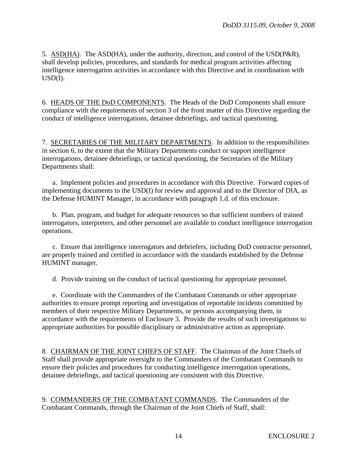5. ASD(HA). The ASD(HA), under the authority, direction, and control of the USD(P&R), shall develop policies, procedures, and standards for medical program activities affecting intelligence interrogation activities in accordance with this Directive and in coordination with USD(I).

6. HEADS OF THE DoD COMPONENTS. The Heads of the DoD Components shall ensure compliance with the requirements of section 3 of the front matter of this Directive regarding the conduct of intelligence interrogations, detainee debriefings, and tactical questioning.

7. SECRETARIES OF THE MILITARY DEPARTMENTS. In addition to the responsibilities in section 6, to the extent that the Military Departments conduct or support intelligence interrogations, detainee debriefings, or tactical questioning, the Secretaries of the Military Departments shall:

 a. Implement policies and procedures in accordance with this Directive. Forward copies of implementing documents to the USD(I) for review and approval and to the Director of DIA, as the Defense HUMINT Manager, in accordance with paragraph 1.d. of this enclosure.

 b. Plan, program, and budget for adequate resources so that sufficient numbers of trained interrogators, interpreters, and other personnel are available to conduct intelligence interrogation operations.

 c. Ensure that intelligence interrogators and debriefers, including DoD contractor personnel, are properly trained and certified in accordance with the standards established by the Defense HUMINT manager.

d. Provide training on the conduct of tactical questioning for appropriate personnel.

 e. Coordinate with the Commanders of the Combatant Commands or other appropriate authorities to ensure prompt reporting and investigation of reportable incidents committed by members of their respective Military Departments, or persons accompanying them, in accordance with the requirements of Enclosure 3. Provide the results of such investigations to appropriate authorities for possible disciplinary or administrative action as appropriate.

8. CHAIRMAN OF THE JOINT CHIEFS OF STAFF. The Chairman of the Joint Chiefs of Staff shall provide appropriate oversight to the Commanders of the Combatant Commands to ensure their policies and procedures for conducting intelligence interrogation operations, detainee debriefings, and tactical questioning are consistent with this Directive.

9. COMMANDERS OF THE COMBATANT COMMANDS. The Commanders of the Combatant Commands, through the Chairman of the Joint Chiefs of Staff, shall: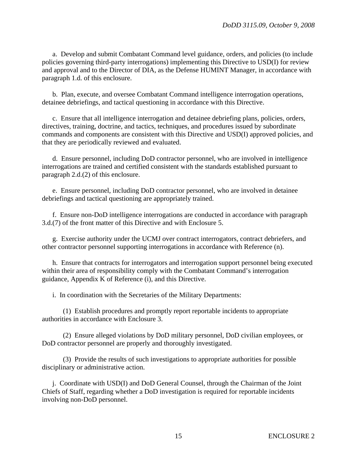a. Develop and submit Combatant Command level guidance, orders, and policies (to include policies governing third-party interrogations) implementing this Directive to USD(I) for review and approval and to the Director of DIA, as the Defense HUMINT Manager, in accordance with paragraph 1.d. of this enclosure.

 b. Plan, execute, and oversee Combatant Command intelligence interrogation operations, detainee debriefings, and tactical questioning in accordance with this Directive.

 c. Ensure that all intelligence interrogation and detainee debriefing plans, policies, orders, directives, training, doctrine, and tactics, techniques, and procedures issued by subordinate commands and components are consistent with this Directive and USD(I) approved policies, and that they are periodically reviewed and evaluated.

 d. Ensure personnel, including DoD contractor personnel, who are involved in intelligence interrogations are trained and certified consistent with the standards established pursuant to paragraph 2.d.(2) of this enclosure.

 e. Ensure personnel, including DoD contractor personnel, who are involved in detainee debriefings and tactical questioning are appropriately trained.

 f. Ensure non-DoD intelligence interrogations are conducted in accordance with paragraph 3.d.(7) of the front matter of this Directive and with Enclosure 5.

 g. Exercise authority under the UCMJ over contract interrogators, contract debriefers, and other contractor personnel supporting interrogations in accordance with Reference (n).

 h. Ensure that contracts for interrogators and interrogation support personnel being executed within their area of responsibility comply with the Combatant Command's interrogation guidance, Appendix K of Reference (i), and this Directive.

i. In coordination with the Secretaries of the Military Departments:

(1) Establish procedures and promptly report reportable incidents to appropriate authorities in accordance with Enclosure 3.

(2) Ensure alleged violations by DoD military personnel, DoD civilian employees, or DoD contractor personnel are properly and thoroughly investigated.

(3) Provide the results of such investigations to appropriate authorities for possible disciplinary or administrative action.

 j. Coordinate with USD(I) and DoD General Counsel, through the Chairman of the Joint Chiefs of Staff, regarding whether a DoD investigation is required for reportable incidents involving non-DoD personnel.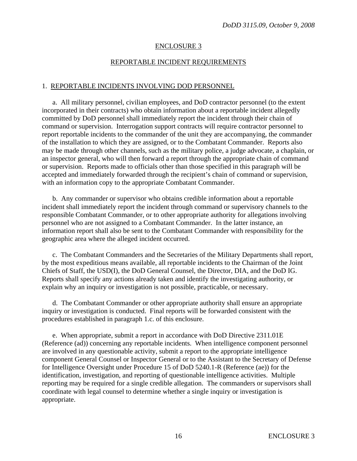#### REPORTABLE INCIDENT REQUIREMENTS

#### 1. REPORTABLE INCIDENTS INVOLVING DOD PERSONNEL

 a. All military personnel, civilian employees, and DoD contractor personnel (to the extent incorporated in their contracts) who obtain information about a reportable incident allegedly committed by DoD personnel shall immediately report the incident through their chain of command or supervision. Interrogation support contracts will require contractor personnel to report reportable incidents to the commander of the unit they are accompanying, the commander of the installation to which they are assigned, or to the Combatant Commander. Reports also may be made through other channels, such as the military police, a judge advocate, a chaplain, or an inspector general, who will then forward a report through the appropriate chain of command or supervision. Reports made to officials other than those specified in this paragraph will be accepted and immediately forwarded through the recipient's chain of command or supervision, with an information copy to the appropriate Combatant Commander.

 b. Any commander or supervisor who obtains credible information about a reportable incident shall immediately report the incident through command or supervisory channels to the responsible Combatant Commander, or to other appropriate authority for allegations involving personnel who are not assigned to a Combatant Commander. In the latter instance, an information report shall also be sent to the Combatant Commander with responsibility for the geographic area where the alleged incident occurred.

 c. The Combatant Commanders and the Secretaries of the Military Departments shall report, by the most expeditious means available, all reportable incidents to the Chairman of the Joint Chiefs of Staff, the USD(I), the DoD General Counsel, the Director, DIA, and the DoD IG. Reports shall specify any actions already taken and identify the investigating authority, or explain why an inquiry or investigation is not possible, practicable, or necessary.

 d. The Combatant Commander or other appropriate authority shall ensure an appropriate inquiry or investigation is conducted. Final reports will be forwarded consistent with the procedures established in paragraph 1.c. of this enclosure.

 e. When appropriate, submit a report in accordance with DoD Directive 2311.01E (Reference (ad)) concerning any reportable incidents. When intelligence component personnel are involved in any questionable activity, submit a report to the appropriate intelligence component General Counsel or Inspector General or to the Assistant to the Secretary of Defense for Intelligence Oversight under Procedure 15 of DoD 5240.1-R (Reference (ae)) for the identification, investigation, and reporting of questionable intelligence activities. Multiple reporting may be required for a single credible allegation. The commanders or supervisors shall coordinate with legal counsel to determine whether a single inquiry or investigation is appropriate.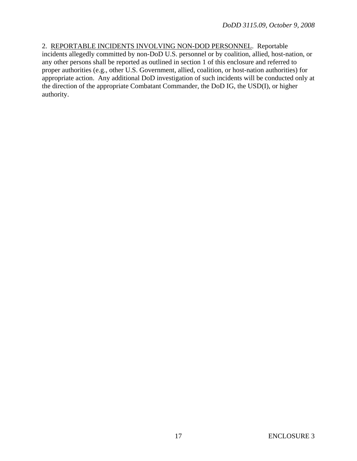2. REPORTABLE INCIDENTS INVOLVING NON-DOD PERSONNEL. Reportable incidents allegedly committed by non-DoD U.S. personnel or by coalition, allied, host-nation, or any other persons shall be reported as outlined in section 1 of this enclosure and referred to proper authorities (e.g., other U.S. Government, allied, coalition, or host-nation authorities) for appropriate action. Any additional DoD investigation of such incidents will be conducted only at the direction of the appropriate Combatant Commander, the DoD IG, the USD(I), or higher authority.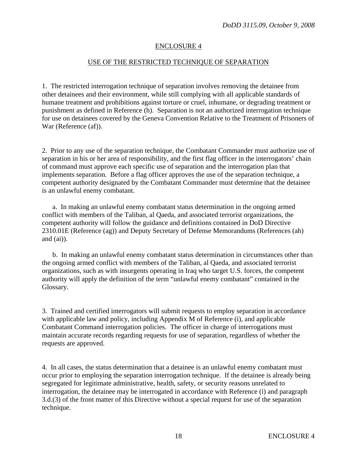## USE OF THE RESTRICTED TECHNIQUE OF SEPARATION

1. The restricted interrogation technique of separation involves removing the detainee from other detainees and their environment, while still complying with all applicable standards of humane treatment and prohibitions against torture or cruel, inhumane, or degrading treatment or punishment as defined in Reference (h). Separation is not an authorized interrogation technique for use on detainees covered by the Geneva Convention Relative to the Treatment of Prisoners of War (Reference (af)).

2. Prior to any use of the separation technique, the Combatant Commander must authorize use of separation in his or her area of responsibility, and the first flag officer in the interrogators' chain of command must approve each specific use of separation and the interrogation plan that implements separation. Before a flag officer approves the use of the separation technique, a competent authority designated by the Combatant Commander must determine that the detainee is an unlawful enemy combatant.

a. In making an unlawful enemy combatant status determination in the ongoing armed conflict with members of the Taliban, al Qaeda, and associated terrorist organizations, the competent authority will follow the guidance and definitions contained in DoD Directive 2310.01E (Reference (ag)) and Deputy Secretary of Defense Memorandums (References (ah) and  $(ai)$ ).

b. In making an unlawful enemy combatant status determination in circumstances other than the ongoing armed conflict with members of the Taliban, al Qaeda, and associated terrorist organizations, such as with insurgents operating in Iraq who target U.S. forces, the competent authority will apply the definition of the term "unlawful enemy combatant" contained in the Glossary.

3. Trained and certified interrogators will submit requests to employ separation in accordance with applicable law and policy, including Appendix M of Reference (i), and applicable Combatant Command interrogation policies. The officer in charge of interrogations must maintain accurate records regarding requests for use of separation, regardless of whether the requests are approved.

4. In all cases, the status determination that a detainee is an unlawful enemy combatant must occur prior to employing the separation interrogation technique. If the detainee is already being segregated for legitimate administrative, health, safety, or security reasons unrelated to interrogation, the detainee may be interrogated in accordance with Reference (i) and paragraph 3.d.(3) of the front matter of this Directive without a special request for use of the separation technique.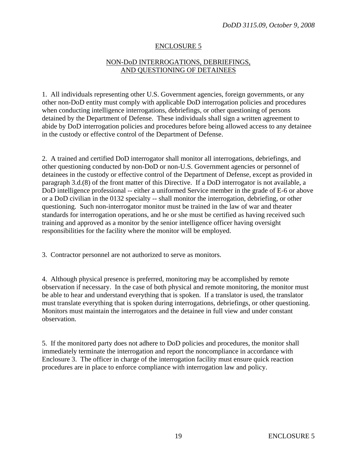# NON-DoD INTERROGATIONS, DEBRIEFINGS, AND QUESTIONING OF DETAINEES

1. All individuals representing other U.S. Government agencies, foreign governments, or any other non-DoD entity must comply with applicable DoD interrogation policies and procedures when conducting intelligence interrogations, debriefings, or other questioning of persons detained by the Department of Defense. These individuals shall sign a written agreement to abide by DoD interrogation policies and procedures before being allowed access to any detainee in the custody or effective control of the Department of Defense.

2. A trained and certified DoD interrogator shall monitor all interrogations, debriefings, and other questioning conducted by non-DoD or non-U.S. Government agencies or personnel of detainees in the custody or effective control of the Department of Defense, except as provided in paragraph 3.d.(8) of the front matter of this Directive. If a DoD interrogator is not available, a DoD intelligence professional -- either a uniformed Service member in the grade of E-6 or above or a DoD civilian in the 0132 specialty -- shall monitor the interrogation, debriefing, or other questioning. Such non-interrogator monitor must be trained in the law of war and theater standards for interrogation operations, and he or she must be certified as having received such training and approved as a monitor by the senior intelligence officer having oversight responsibilities for the facility where the monitor will be employed.

3. Contractor personnel are not authorized to serve as monitors.

4. Although physical presence is preferred, monitoring may be accomplished by remote observation if necessary. In the case of both physical and remote monitoring, the monitor must be able to hear and understand everything that is spoken. If a translator is used, the translator must translate everything that is spoken during interrogations, debriefings, or other questioning. Monitors must maintain the interrogators and the detainee in full view and under constant observation.

5. If the monitored party does not adhere to DoD policies and procedures, the monitor shall immediately terminate the interrogation and report the noncompliance in accordance with Enclosure 3. The officer in charge of the interrogation facility must ensure quick reaction procedures are in place to enforce compliance with interrogation law and policy.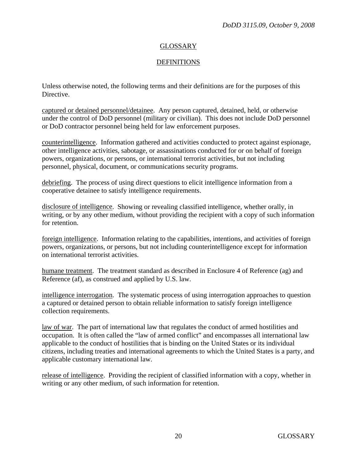# GLOSSARY

# **DEFINITIONS**

Unless otherwise noted, the following terms and their definitions are for the purposes of this Directive.

captured or detained personnel/detainee. Any person captured, detained, held, or otherwise under the control of DoD personnel (military or civilian). This does not include DoD personnel or DoD contractor personnel being held for law enforcement purposes.

counterintelligence. Information gathered and activities conducted to protect against espionage, other intelligence activities, sabotage, or assassinations conducted for or on behalf of foreign powers, organizations, or persons, or international terrorist activities, but not including personnel, physical, document, or communications security programs.

debriefing. The process of using direct questions to elicit intelligence information from a cooperative detainee to satisfy intelligence requirements.

disclosure of intelligence. Showing or revealing classified intelligence, whether orally, in writing, or by any other medium, without providing the recipient with a copy of such information for retention.

foreign intelligence. Information relating to the capabilities, intentions, and activities of foreign powers, organizations, or persons, but not including counterintelligence except for information on international terrorist activities.

humane treatment. The treatment standard as described in Enclosure 4 of Reference (ag) and Reference (af), as construed and applied by U.S. law.

intelligence interrogation. The systematic process of using interrogation approaches to question a captured or detained person to obtain reliable information to satisfy foreign intelligence collection requirements.

law of war. The part of international law that regulates the conduct of armed hostilities and occupation. It is often called the "law of armed conflict" and encompasses all international law applicable to the conduct of hostilities that is binding on the United States or its individual citizens, including treaties and international agreements to which the United States is a party, and applicable customary international law.

release of intelligence. Providing the recipient of classified information with a copy, whether in writing or any other medium, of such information for retention.